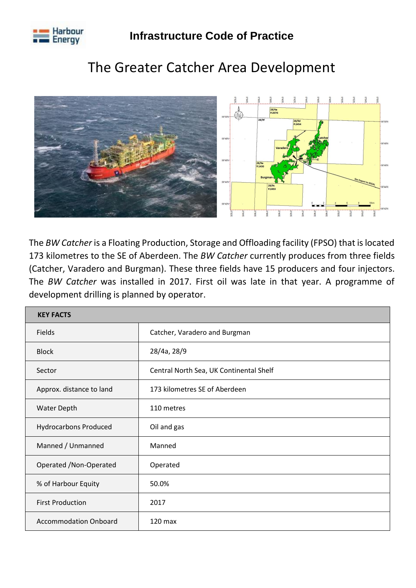

## The Greater Catcher Area Development



The *BW Catcher* is a Floating Production, Storage and Offloading facility (FPSO) that is located 173 kilometres to the SE of Aberdeen. The *BW Catcher* currently produces from three fields (Catcher, Varadero and Burgman). These three fields have 15 producers and four injectors. The *BW Catcher* was installed in 2017. First oil was late in that year. A programme of development drilling is planned by operator.

| <b>KEY FACTS</b>             |                                         |  |  |  |  |
|------------------------------|-----------------------------------------|--|--|--|--|
| <b>Fields</b>                | Catcher, Varadero and Burgman           |  |  |  |  |
| <b>Block</b>                 | 28/4a, 28/9                             |  |  |  |  |
| Sector                       | Central North Sea, UK Continental Shelf |  |  |  |  |
| Approx. distance to land     | 173 kilometres SE of Aberdeen           |  |  |  |  |
| <b>Water Depth</b>           | 110 metres                              |  |  |  |  |
| <b>Hydrocarbons Produced</b> | Oil and gas                             |  |  |  |  |
| Manned / Unmanned            | Manned                                  |  |  |  |  |
| Operated / Non-Operated      | Operated                                |  |  |  |  |
| % of Harbour Equity          | 50.0%                                   |  |  |  |  |
| <b>First Production</b>      | 2017                                    |  |  |  |  |
| <b>Accommodation Onboard</b> | $120$ max                               |  |  |  |  |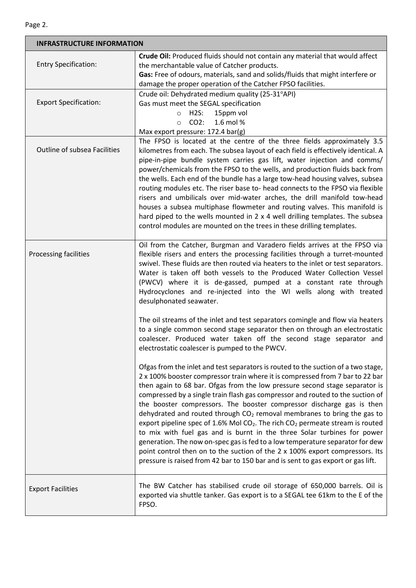Е

| <b>INFRASTRUCTURE INFORMATION</b> |                                                                                                                                                                                                                                                                                                                                                                                                                                                                                                                                                                                                                                                                                                                                                                                                                                                                                                                                              |  |  |  |  |  |
|-----------------------------------|----------------------------------------------------------------------------------------------------------------------------------------------------------------------------------------------------------------------------------------------------------------------------------------------------------------------------------------------------------------------------------------------------------------------------------------------------------------------------------------------------------------------------------------------------------------------------------------------------------------------------------------------------------------------------------------------------------------------------------------------------------------------------------------------------------------------------------------------------------------------------------------------------------------------------------------------|--|--|--|--|--|
| <b>Entry Specification:</b>       | Crude Oil: Produced fluids should not contain any material that would affect<br>the merchantable value of Catcher products.                                                                                                                                                                                                                                                                                                                                                                                                                                                                                                                                                                                                                                                                                                                                                                                                                  |  |  |  |  |  |
|                                   | Gas: Free of odours, materials, sand and solids/fluids that might interfere or                                                                                                                                                                                                                                                                                                                                                                                                                                                                                                                                                                                                                                                                                                                                                                                                                                                               |  |  |  |  |  |
|                                   | damage the proper operation of the Catcher FPSO facilities.                                                                                                                                                                                                                                                                                                                                                                                                                                                                                                                                                                                                                                                                                                                                                                                                                                                                                  |  |  |  |  |  |
|                                   | Crude oil: Dehydrated medium quality (25-31°API)                                                                                                                                                                                                                                                                                                                                                                                                                                                                                                                                                                                                                                                                                                                                                                                                                                                                                             |  |  |  |  |  |
| <b>Export Specification:</b>      | Gas must meet the SEGAL specification                                                                                                                                                                                                                                                                                                                                                                                                                                                                                                                                                                                                                                                                                                                                                                                                                                                                                                        |  |  |  |  |  |
|                                   | 15ppm vol<br>H2S:<br>$\circ$                                                                                                                                                                                                                                                                                                                                                                                                                                                                                                                                                                                                                                                                                                                                                                                                                                                                                                                 |  |  |  |  |  |
|                                   | $CO2$ :<br>1.6 mol %<br>$\circ$                                                                                                                                                                                                                                                                                                                                                                                                                                                                                                                                                                                                                                                                                                                                                                                                                                                                                                              |  |  |  |  |  |
|                                   | Max export pressure: 172.4 bar(g)                                                                                                                                                                                                                                                                                                                                                                                                                                                                                                                                                                                                                                                                                                                                                                                                                                                                                                            |  |  |  |  |  |
| Outline of subsea Facilities      | The FPSO is located at the centre of the three fields approximately 3.5<br>kilometres from each. The subsea layout of each field is effectively identical. A<br>pipe-in-pipe bundle system carries gas lift, water injection and comms/<br>power/chemicals from the FPSO to the wells, and production fluids back from<br>the wells. Each end of the bundle has a large tow-head housing valves, subsea<br>routing modules etc. The riser base to- head connects to the FPSO via flexible<br>risers and umbilicals over mid-water arches, the drill manifold tow-head<br>houses a subsea multiphase flowmeter and routing valves. This manifold is                                                                                                                                                                                                                                                                                           |  |  |  |  |  |
|                                   | hard piped to the wells mounted in 2 x 4 well drilling templates. The subsea                                                                                                                                                                                                                                                                                                                                                                                                                                                                                                                                                                                                                                                                                                                                                                                                                                                                 |  |  |  |  |  |
|                                   | control modules are mounted on the trees in these drilling templates.                                                                                                                                                                                                                                                                                                                                                                                                                                                                                                                                                                                                                                                                                                                                                                                                                                                                        |  |  |  |  |  |
| Processing facilities             | Oil from the Catcher, Burgman and Varadero fields arrives at the FPSO via<br>flexible risers and enters the processing facilities through a turret-mounted<br>swivel. These fluids are then routed via heaters to the inlet or test separators.<br>Water is taken off both vessels to the Produced Water Collection Vessel<br>(PWCV) where it is de-gassed, pumped at a constant rate through<br>Hydrocyclones and re-injected into the WI wells along with treated<br>desulphonated seawater.<br>The oil streams of the inlet and test separators comingle and flow via heaters                                                                                                                                                                                                                                                                                                                                                             |  |  |  |  |  |
|                                   | to a single common second stage separator then on through an electrostatic<br>coalescer. Produced water taken off the second stage separator and<br>electrostatic coalescer is pumped to the PWCV.                                                                                                                                                                                                                                                                                                                                                                                                                                                                                                                                                                                                                                                                                                                                           |  |  |  |  |  |
|                                   | Ofgas from the inlet and test separators is routed to the suction of a two stage,<br>2 x 100% booster compressor train where it is compressed from 7 bar to 22 bar<br>then again to 68 bar. Ofgas from the low pressure second stage separator is<br>compressed by a single train flash gas compressor and routed to the suction of<br>the booster compressors. The booster compressor discharge gas is then<br>dehydrated and routed through CO <sub>2</sub> removal membranes to bring the gas to<br>export pipeline spec of 1.6% Mol CO <sub>2</sub> . The rich CO <sub>2</sub> permeate stream is routed<br>to mix with fuel gas and is burnt in the three Solar turbines for power<br>generation. The now on-spec gas is fed to a low temperature separator for dew<br>point control then on to the suction of the 2 x 100% export compressors. Its<br>pressure is raised from 42 bar to 150 bar and is sent to gas export or gas lift. |  |  |  |  |  |
| <b>Export Facilities</b>          | The BW Catcher has stabilised crude oil storage of 650,000 barrels. Oil is<br>exported via shuttle tanker. Gas export is to a SEGAL tee 61km to the E of the<br>FPSO.                                                                                                                                                                                                                                                                                                                                                                                                                                                                                                                                                                                                                                                                                                                                                                        |  |  |  |  |  |